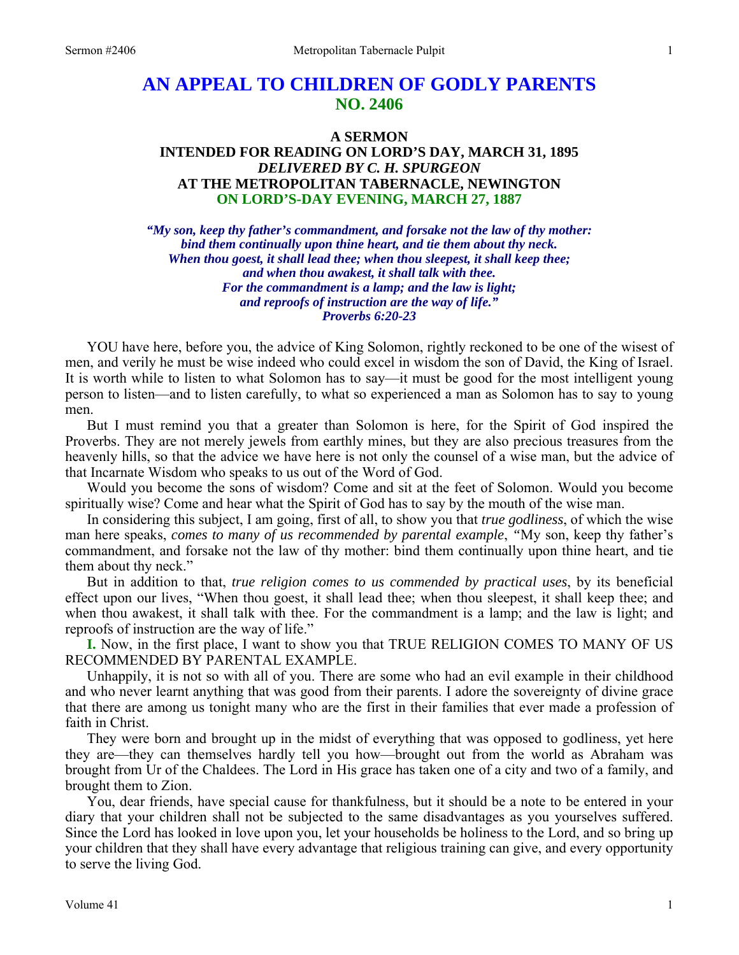# **AN APPEAL TO CHILDREN OF GODLY PARENTS NO. 2406**

# **A SERMON INTENDED FOR READING ON LORD'S DAY, MARCH 31, 1895**  *DELIVERED BY C. H. SPURGEON*  **AT THE METROPOLITAN TABERNACLE, NEWINGTON ON LORD'S-DAY EVENING, MARCH 27, 1887**

*"My son, keep thy father's commandment, and forsake not the law of thy mother: bind them continually upon thine heart, and tie them about thy neck. When thou goest, it shall lead thee; when thou sleepest, it shall keep thee; and when thou awakest, it shall talk with thee. For the commandment is a lamp; and the law is light; and reproofs of instruction are the way of life." Proverbs 6:20-23* 

YOU have here, before you, the advice of King Solomon, rightly reckoned to be one of the wisest of men, and verily he must be wise indeed who could excel in wisdom the son of David, the King of Israel. It is worth while to listen to what Solomon has to say—it must be good for the most intelligent young person to listen—and to listen carefully, to what so experienced a man as Solomon has to say to young men.

But I must remind you that a greater than Solomon is here, for the Spirit of God inspired the Proverbs. They are not merely jewels from earthly mines, but they are also precious treasures from the heavenly hills, so that the advice we have here is not only the counsel of a wise man, but the advice of that Incarnate Wisdom who speaks to us out of the Word of God.

Would you become the sons of wisdom? Come and sit at the feet of Solomon. Would you become spiritually wise? Come and hear what the Spirit of God has to say by the mouth of the wise man.

In considering this subject, I am going, first of all, to show you that *true godliness*, of which the wise man here speaks, *comes to many of us recommended by parental example*, *"*My son, keep thy father's commandment, and forsake not the law of thy mother: bind them continually upon thine heart, and tie them about thy neck."

But in addition to that, *true religion comes to us commended by practical uses*, by its beneficial effect upon our lives, "When thou goest, it shall lead thee; when thou sleepest, it shall keep thee; and when thou awakest, it shall talk with thee. For the commandment is a lamp; and the law is light; and reproofs of instruction are the way of life."

**I.** Now, in the first place, I want to show you that TRUE RELIGION COMES TO MANY OF US RECOMMENDED BY PARENTAL EXAMPLE.

Unhappily, it is not so with all of you. There are some who had an evil example in their childhood and who never learnt anything that was good from their parents. I adore the sovereignty of divine grace that there are among us tonight many who are the first in their families that ever made a profession of faith in Christ.

They were born and brought up in the midst of everything that was opposed to godliness, yet here they are—they can themselves hardly tell you how—brought out from the world as Abraham was brought from Ur of the Chaldees. The Lord in His grace has taken one of a city and two of a family, and brought them to Zion.

You, dear friends, have special cause for thankfulness, but it should be a note to be entered in your diary that your children shall not be subjected to the same disadvantages as you yourselves suffered. Since the Lord has looked in love upon you, let your households be holiness to the Lord, and so bring up your children that they shall have every advantage that religious training can give, and every opportunity to serve the living God.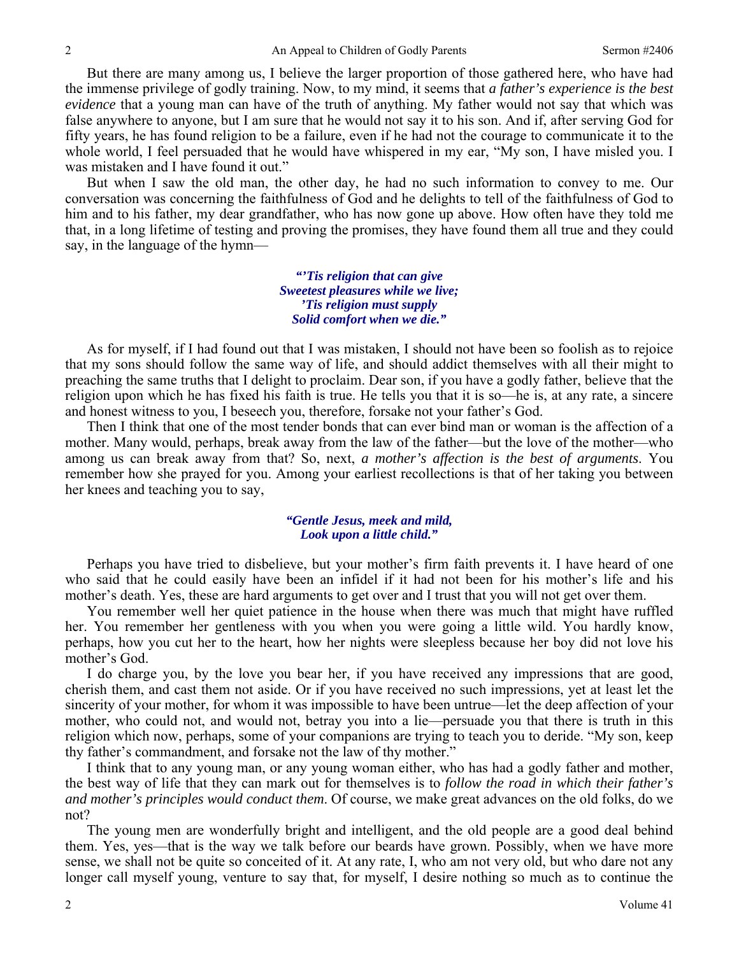But there are many among us, I believe the larger proportion of those gathered here, who have had the immense privilege of godly training. Now, to my mind, it seems that *a father's experience is the best evidence* that a young man can have of the truth of anything. My father would not say that which was false anywhere to anyone, but I am sure that he would not say it to his son. And if, after serving God for fifty years, he has found religion to be a failure, even if he had not the courage to communicate it to the whole world, I feel persuaded that he would have whispered in my ear, "My son, I have misled you. I was mistaken and I have found it out."

But when I saw the old man, the other day, he had no such information to convey to me. Our conversation was concerning the faithfulness of God and he delights to tell of the faithfulness of God to him and to his father, my dear grandfather, who has now gone up above. How often have they told me that, in a long lifetime of testing and proving the promises, they have found them all true and they could say, in the language of the hymn—

> *"'Tis religion that can give Sweetest pleasures while we live; 'Tis religion must supply Solid comfort when we die."*

As for myself, if I had found out that I was mistaken, I should not have been so foolish as to rejoice that my sons should follow the same way of life, and should addict themselves with all their might to preaching the same truths that I delight to proclaim. Dear son, if you have a godly father, believe that the religion upon which he has fixed his faith is true. He tells you that it is so—he is, at any rate, a sincere and honest witness to you, I beseech you, therefore, forsake not your father's God.

Then I think that one of the most tender bonds that can ever bind man or woman is the affection of a mother. Many would, perhaps, break away from the law of the father—but the love of the mother—who among us can break away from that? So, next, *a mother's affection is the best of arguments*. You remember how she prayed for you. Among your earliest recollections is that of her taking you between her knees and teaching you to say,

#### *"Gentle Jesus, meek and mild, Look upon a little child."*

Perhaps you have tried to disbelieve, but your mother's firm faith prevents it. I have heard of one who said that he could easily have been an infidel if it had not been for his mother's life and his mother's death. Yes, these are hard arguments to get over and I trust that you will not get over them.

You remember well her quiet patience in the house when there was much that might have ruffled her. You remember her gentleness with you when you were going a little wild. You hardly know, perhaps, how you cut her to the heart, how her nights were sleepless because her boy did not love his mother's God.

I do charge you, by the love you bear her, if you have received any impressions that are good, cherish them, and cast them not aside. Or if you have received no such impressions, yet at least let the sincerity of your mother, for whom it was impossible to have been untrue—let the deep affection of your mother, who could not, and would not, betray you into a lie—persuade you that there is truth in this religion which now, perhaps, some of your companions are trying to teach you to deride. "My son, keep thy father's commandment, and forsake not the law of thy mother."

I think that to any young man, or any young woman either, who has had a godly father and mother, the best way of life that they can mark out for themselves is to *follow the road in which their father's and mother's principles would conduct them*. Of course, we make great advances on the old folks, do we not?

The young men are wonderfully bright and intelligent, and the old people are a good deal behind them. Yes, yes—that is the way we talk before our beards have grown. Possibly, when we have more sense, we shall not be quite so conceited of it. At any rate, I, who am not very old, but who dare not any longer call myself young, venture to say that, for myself, I desire nothing so much as to continue the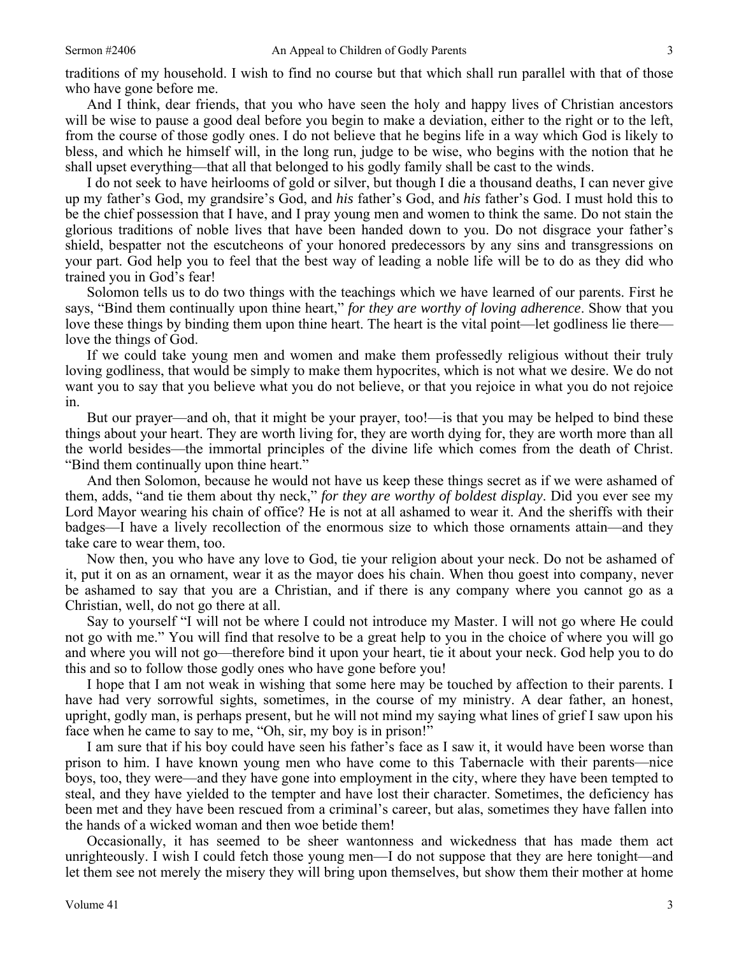traditions of my household. I wish to find no course but that which shall run parallel with that of those who have gone before me.

And I think, dear friends, that you who have seen the holy and happy lives of Christian ancestors will be wise to pause a good deal before you begin to make a deviation, either to the right or to the left, from the course of those godly ones. I do not believe that he begins life in a way which God is likely to bless, and which he himself will, in the long run, judge to be wise, who begins with the notion that he shall upset everything—that all that belonged to his godly family shall be cast to the winds.

I do not seek to have heirlooms of gold or silver, but though I die a thousand deaths, I can never give up my father's God, my grandsire's God, and *his* father's God, and *his* father's God. I must hold this to be the chief possession that I have, and I pray young men and women to think the same. Do not stain the glorious traditions of noble lives that have been handed down to you. Do not disgrace your father's shield, bespatter not the escutcheons of your honored predecessors by any sins and transgressions on your part. God help you to feel that the best way of leading a noble life will be to do as they did who trained you in God's fear!

Solomon tells us to do two things with the teachings which we have learned of our parents. First he says, "Bind them continually upon thine heart," *for they are worthy of loving adherence*. Show that you love these things by binding them upon thine heart. The heart is the vital point—let godliness lie there love the things of God.

If we could take young men and women and make them professedly religious without their truly loving godliness, that would be simply to make them hypocrites, which is not what we desire. We do not want you to say that you believe what you do not believe, or that you rejoice in what you do not rejoice in.

But our prayer—and oh, that it might be your prayer, too!—is that you may be helped to bind these things about your heart. They are worth living for, they are worth dying for, they are worth more than all the world besides—the immortal principles of the divine life which comes from the death of Christ. "Bind them continually upon thine heart."

And then Solomon, because he would not have us keep these things secret as if we were ashamed of them, adds, "and tie them about thy neck," *for they are worthy of boldest display*. Did you ever see my Lord Mayor wearing his chain of office? He is not at all ashamed to wear it. And the sheriffs with their badges—I have a lively recollection of the enormous size to which those ornaments attain—and they take care to wear them, too.

Now then, you who have any love to God, tie your religion about your neck. Do not be ashamed of it, put it on as an ornament, wear it as the mayor does his chain. When thou goest into company, never be ashamed to say that you are a Christian, and if there is any company where you cannot go as a Christian, well, do not go there at all.

Say to yourself "I will not be where I could not introduce my Master. I will not go where He could not go with me." You will find that resolve to be a great help to you in the choice of where you will go and where you will not go—therefore bind it upon your heart, tie it about your neck. God help you to do this and so to follow those godly ones who have gone before you!

I hope that I am not weak in wishing that some here may be touched by affection to their parents. I have had very sorrowful sights, sometimes, in the course of my ministry. A dear father, an honest, upright, godly man, is perhaps present, but he will not mind my saying what lines of grief I saw upon his face when he came to say to me, "Oh, sir, my boy is in prison!"

I am sure that if his boy could have seen his father's face as I saw it, it would have been worse than prison to him. I have known young men who have come to this Tabernacle with their parents—nice boys, too, they were—and they have gone into employment in the city, where they have been tempted to steal, and they have yielded to the tempter and have lost their character. Sometimes, the deficiency has been met and they have been rescued from a criminal's career, but alas, sometimes they have fallen into the hands of a wicked woman and then woe betide them!

Occasionally, it has seemed to be sheer wantonness and wickedness that has made them act unrighteously. I wish I could fetch those young men—I do not suppose that they are here tonight—and let them see not merely the misery they will bring upon themselves, but show them their mother at home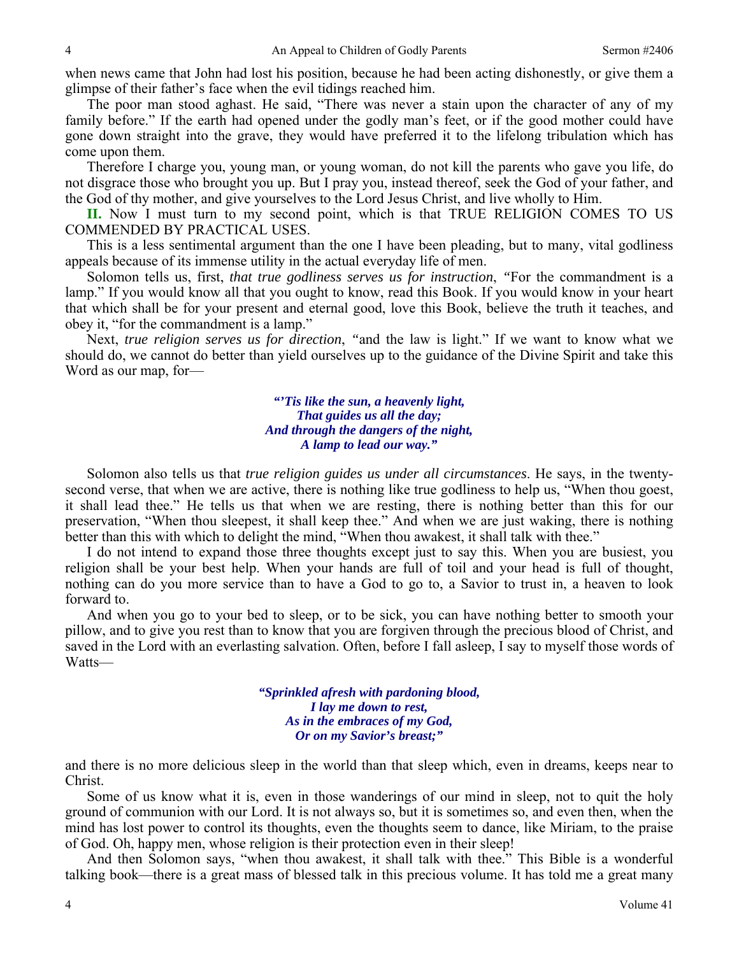when news came that John had lost his position, because he had been acting dishonestly, or give them a glimpse of their father's face when the evil tidings reached him.

The poor man stood aghast. He said, "There was never a stain upon the character of any of my family before." If the earth had opened under the godly man's feet, or if the good mother could have gone down straight into the grave, they would have preferred it to the lifelong tribulation which has come upon them.

Therefore I charge you, young man, or young woman, do not kill the parents who gave you life, do not disgrace those who brought you up. But I pray you, instead thereof, seek the God of your father, and the God of thy mother, and give yourselves to the Lord Jesus Christ, and live wholly to Him.

**II.** Now I must turn to my second point, which is that TRUE RELIGION COMES TO US COMMENDED BY PRACTICAL USES.

This is a less sentimental argument than the one I have been pleading, but to many, vital godliness appeals because of its immense utility in the actual everyday life of men.

Solomon tells us, first, *that true godliness serves us for instruction*, *"*For the commandment is a lamp." If you would know all that you ought to know, read this Book. If you would know in your heart that which shall be for your present and eternal good, love this Book, believe the truth it teaches, and obey it, "for the commandment is a lamp."

Next, *true religion serves us for direction*, *"*and the law is light." If we want to know what we should do, we cannot do better than yield ourselves up to the guidance of the Divine Spirit and take this Word as our map, for—

> *"'Tis like the sun, a heavenly light, That guides us all the day; And through the dangers of the night, A lamp to lead our way."*

Solomon also tells us that *true religion guides us under all circumstances*. He says, in the twentysecond verse, that when we are active, there is nothing like true godliness to help us, "When thou goest, it shall lead thee." He tells us that when we are resting, there is nothing better than this for our preservation, "When thou sleepest, it shall keep thee." And when we are just waking, there is nothing better than this with which to delight the mind, "When thou awakest, it shall talk with thee."

I do not intend to expand those three thoughts except just to say this. When you are busiest, you religion shall be your best help. When your hands are full of toil and your head is full of thought, nothing can do you more service than to have a God to go to, a Savior to trust in, a heaven to look forward to.

And when you go to your bed to sleep, or to be sick, you can have nothing better to smooth your pillow, and to give you rest than to know that you are forgiven through the precious blood of Christ, and saved in the Lord with an everlasting salvation. Often, before I fall asleep, I say to myself those words of Watts—

> *"Sprinkled afresh with pardoning blood, I lay me down to rest, As in the embraces of my God, Or on my Savior's breast;"*

and there is no more delicious sleep in the world than that sleep which, even in dreams, keeps near to Christ.

Some of us know what it is, even in those wanderings of our mind in sleep, not to quit the holy ground of communion with our Lord. It is not always so, but it is sometimes so, and even then, when the mind has lost power to control its thoughts, even the thoughts seem to dance, like Miriam, to the praise of God. Oh, happy men, whose religion is their protection even in their sleep!

And then Solomon says, "when thou awakest, it shall talk with thee." This Bible is a wonderful talking book—there is a great mass of blessed talk in this precious volume. It has told me a great many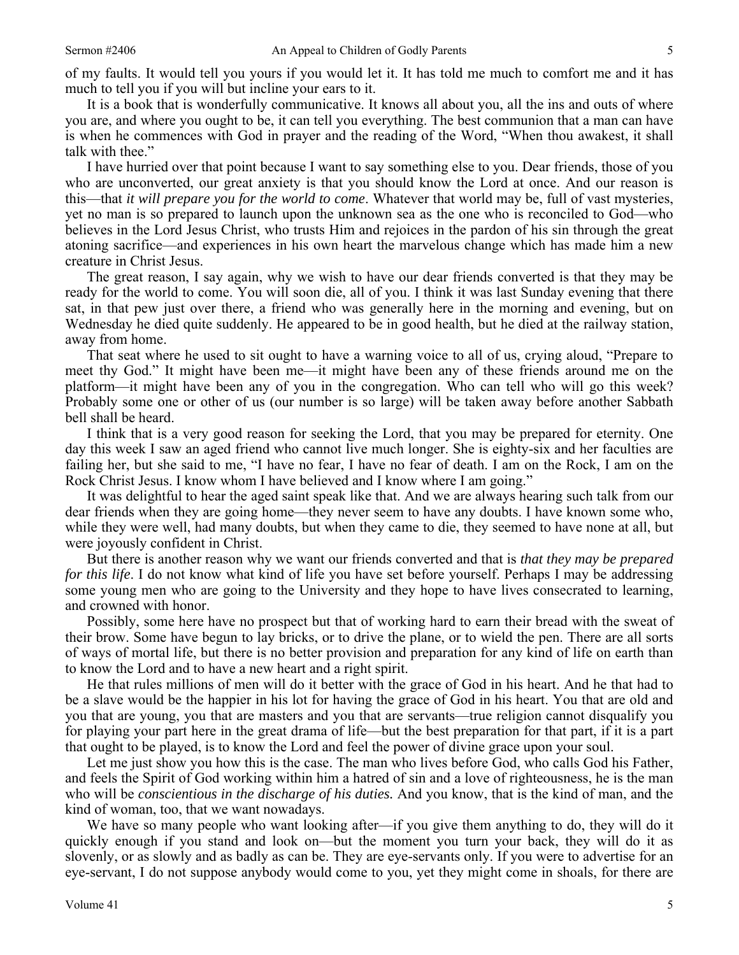of my faults. It would tell you yours if you would let it. It has told me much to comfort me and it has much to tell you if you will but incline your ears to it.

It is a book that is wonderfully communicative. It knows all about you, all the ins and outs of where you are, and where you ought to be, it can tell you everything. The best communion that a man can have is when he commences with God in prayer and the reading of the Word, "When thou awakest, it shall talk with thee."

I have hurried over that point because I want to say something else to you. Dear friends, those of you who are unconverted, our great anxiety is that you should know the Lord at once. And our reason is this—that *it will prepare you for the world to come*. Whatever that world may be, full of vast mysteries, yet no man is so prepared to launch upon the unknown sea as the one who is reconciled to God—who believes in the Lord Jesus Christ, who trusts Him and rejoices in the pardon of his sin through the great atoning sacrifice—and experiences in his own heart the marvelous change which has made him a new creature in Christ Jesus.

The great reason, I say again, why we wish to have our dear friends converted is that they may be ready for the world to come. You will soon die, all of you. I think it was last Sunday evening that there sat, in that pew just over there, a friend who was generally here in the morning and evening, but on Wednesday he died quite suddenly. He appeared to be in good health, but he died at the railway station, away from home.

That seat where he used to sit ought to have a warning voice to all of us, crying aloud, "Prepare to meet thy God." It might have been me—it might have been any of these friends around me on the platform—it might have been any of you in the congregation. Who can tell who will go this week? Probably some one or other of us (our number is so large) will be taken away before another Sabbath bell shall be heard.

I think that is a very good reason for seeking the Lord, that you may be prepared for eternity. One day this week I saw an aged friend who cannot live much longer. She is eighty-six and her faculties are failing her, but she said to me, "I have no fear, I have no fear of death. I am on the Rock, I am on the Rock Christ Jesus. I know whom I have believed and I know where I am going."

It was delightful to hear the aged saint speak like that. And we are always hearing such talk from our dear friends when they are going home—they never seem to have any doubts. I have known some who, while they were well, had many doubts, but when they came to die, they seemed to have none at all, but were joyously confident in Christ.

But there is another reason why we want our friends converted and that is *that they may be prepared for this life*. I do not know what kind of life you have set before yourself. Perhaps I may be addressing some young men who are going to the University and they hope to have lives consecrated to learning, and crowned with honor.

Possibly, some here have no prospect but that of working hard to earn their bread with the sweat of their brow. Some have begun to lay bricks, or to drive the plane, or to wield the pen. There are all sorts of ways of mortal life, but there is no better provision and preparation for any kind of life on earth than to know the Lord and to have a new heart and a right spirit.

He that rules millions of men will do it better with the grace of God in his heart. And he that had to be a slave would be the happier in his lot for having the grace of God in his heart. You that are old and you that are young, you that are masters and you that are servants—true religion cannot disqualify you for playing your part here in the great drama of life—but the best preparation for that part, if it is a part that ought to be played, is to know the Lord and feel the power of divine grace upon your soul.

Let me just show you how this is the case. The man who lives before God, who calls God his Father, and feels the Spirit of God working within him a hatred of sin and a love of righteousness, he is the man who will be *conscientious in the discharge of his duties.* And you know, that is the kind of man, and the kind of woman, too, that we want nowadays.

We have so many people who want looking after—if you give them anything to do, they will do it quickly enough if you stand and look on—but the moment you turn your back, they will do it as slovenly, or as slowly and as badly as can be. They are eye-servants only. If you were to advertise for an eye-servant, I do not suppose anybody would come to you, yet they might come in shoals, for there are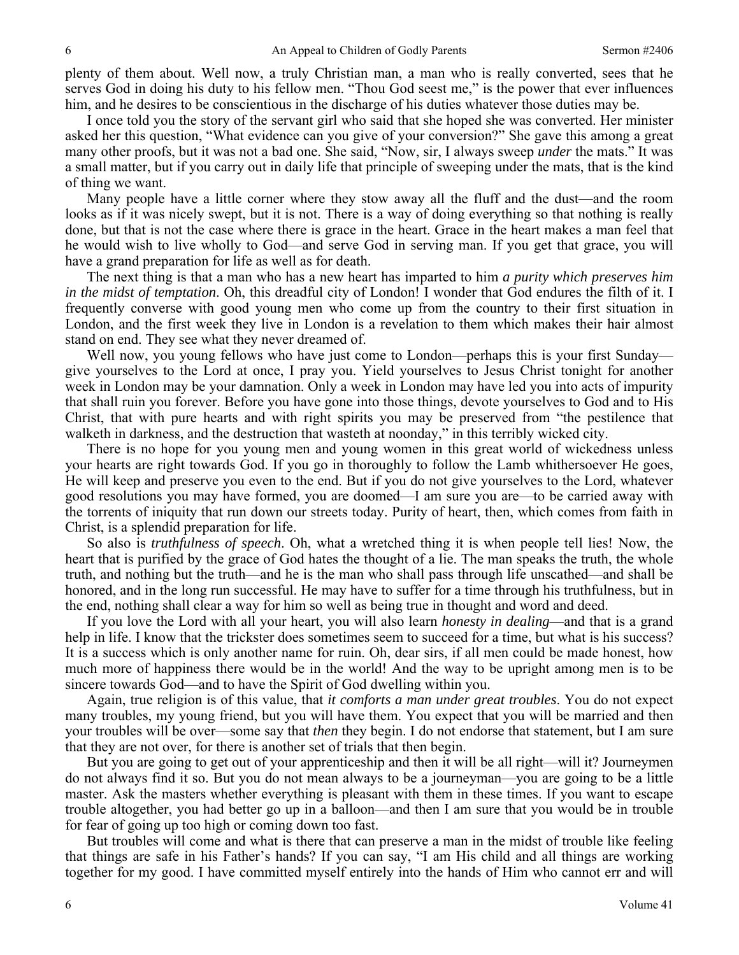plenty of them about. Well now, a truly Christian man, a man who is really converted, sees that he serves God in doing his duty to his fellow men. "Thou God seest me," is the power that ever influences him, and he desires to be conscientious in the discharge of his duties whatever those duties may be.

I once told you the story of the servant girl who said that she hoped she was converted. Her minister asked her this question, "What evidence can you give of your conversion?" She gave this among a great many other proofs, but it was not a bad one. She said, "Now, sir, I always sweep *under* the mats." It was a small matter, but if you carry out in daily life that principle of sweeping under the mats, that is the kind of thing we want.

Many people have a little corner where they stow away all the fluff and the dust—and the room looks as if it was nicely swept, but it is not. There is a way of doing everything so that nothing is really done, but that is not the case where there is grace in the heart. Grace in the heart makes a man feel that he would wish to live wholly to God—and serve God in serving man. If you get that grace, you will have a grand preparation for life as well as for death.

The next thing is that a man who has a new heart has imparted to him *a purity which preserves him in the midst of temptation*. Oh, this dreadful city of London! I wonder that God endures the filth of it. I frequently converse with good young men who come up from the country to their first situation in London, and the first week they live in London is a revelation to them which makes their hair almost stand on end. They see what they never dreamed of.

Well now, you young fellows who have just come to London—perhaps this is your first Sunday give yourselves to the Lord at once, I pray you. Yield yourselves to Jesus Christ tonight for another week in London may be your damnation. Only a week in London may have led you into acts of impurity that shall ruin you forever. Before you have gone into those things, devote yourselves to God and to His Christ, that with pure hearts and with right spirits you may be preserved from "the pestilence that walketh in darkness, and the destruction that wasteth at noonday," in this terribly wicked city.

There is no hope for you young men and young women in this great world of wickedness unless your hearts are right towards God. If you go in thoroughly to follow the Lamb whithersoever He goes, He will keep and preserve you even to the end. But if you do not give yourselves to the Lord, whatever good resolutions you may have formed, you are doomed—I am sure you are—to be carried away with the torrents of iniquity that run down our streets today. Purity of heart, then, which comes from faith in Christ, is a splendid preparation for life.

So also is *truthfulness of speech*. Oh, what a wretched thing it is when people tell lies! Now, the heart that is purified by the grace of God hates the thought of a lie. The man speaks the truth, the whole truth, and nothing but the truth—and he is the man who shall pass through life unscathed—and shall be honored, and in the long run successful. He may have to suffer for a time through his truthfulness, but in the end, nothing shall clear a way for him so well as being true in thought and word and deed.

If you love the Lord with all your heart, you will also learn *honesty in dealing*—and that is a grand help in life. I know that the trickster does sometimes seem to succeed for a time, but what is his success? It is a success which is only another name for ruin. Oh, dear sirs, if all men could be made honest, how much more of happiness there would be in the world! And the way to be upright among men is to be sincere towards God—and to have the Spirit of God dwelling within you.

Again, true religion is of this value, that *it comforts a man under great troubles*. You do not expect many troubles, my young friend, but you will have them. You expect that you will be married and then your troubles will be over—some say that *then* they begin. I do not endorse that statement, but I am sure that they are not over, for there is another set of trials that then begin.

But you are going to get out of your apprenticeship and then it will be all right—will it? Journeymen do not always find it so. But you do not mean always to be a journeyman—you are going to be a little master. Ask the masters whether everything is pleasant with them in these times. If you want to escape trouble altogether, you had better go up in a balloon—and then I am sure that you would be in trouble for fear of going up too high or coming down too fast.

But troubles will come and what is there that can preserve a man in the midst of trouble like feeling that things are safe in his Father's hands? If you can say, "I am His child and all things are working together for my good. I have committed myself entirely into the hands of Him who cannot err and will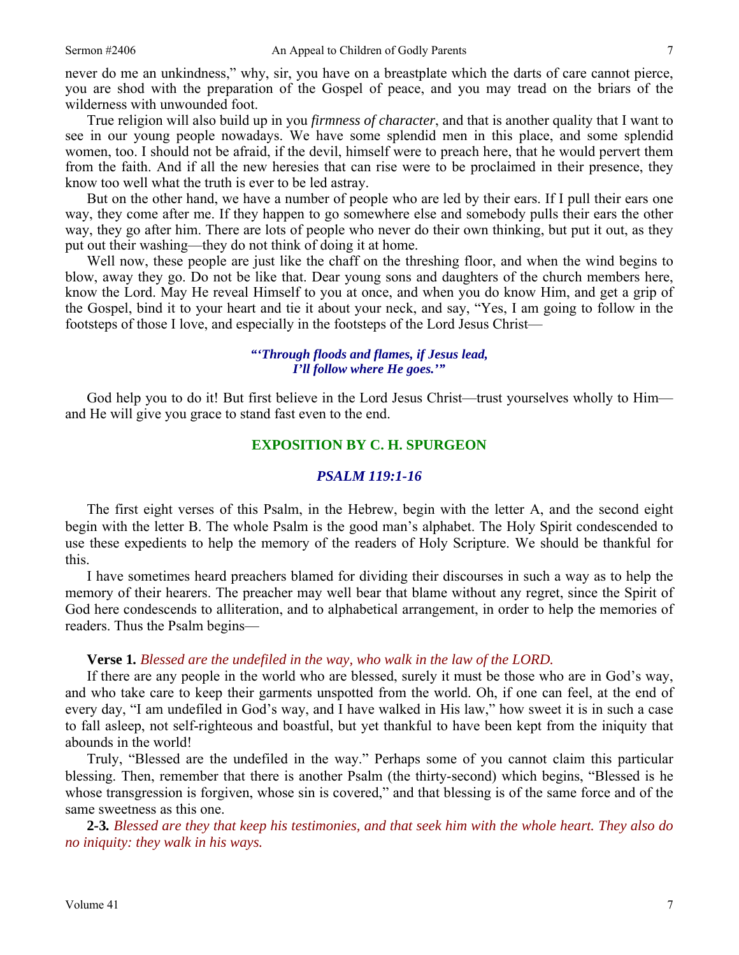never do me an unkindness," why, sir, you have on a breastplate which the darts of care cannot pierce, you are shod with the preparation of the Gospel of peace, and you may tread on the briars of the wilderness with unwounded foot.

True religion will also build up in you *firmness of character*, and that is another quality that I want to see in our young people nowadays. We have some splendid men in this place, and some splendid women, too. I should not be afraid, if the devil, himself were to preach here, that he would pervert them from the faith. And if all the new heresies that can rise were to be proclaimed in their presence, they know too well what the truth is ever to be led astray.

But on the other hand, we have a number of people who are led by their ears. If I pull their ears one way, they come after me. If they happen to go somewhere else and somebody pulls their ears the other way, they go after him. There are lots of people who never do their own thinking, but put it out, as they put out their washing—they do not think of doing it at home.

Well now, these people are just like the chaff on the threshing floor, and when the wind begins to blow, away they go. Do not be like that. Dear young sons and daughters of the church members here, know the Lord. May He reveal Himself to you at once, and when you do know Him, and get a grip of the Gospel, bind it to your heart and tie it about your neck, and say, "Yes, I am going to follow in the footsteps of those I love, and especially in the footsteps of the Lord Jesus Christ—

#### *"'Through floods and flames, if Jesus lead, I'll follow where He goes.'"*

God help you to do it! But first believe in the Lord Jesus Christ—trust yourselves wholly to Him and He will give you grace to stand fast even to the end.

# **EXPOSITION BY C. H. SPURGEON**

#### *PSALM 119:1-16*

The first eight verses of this Psalm, in the Hebrew, begin with the letter A, and the second eight begin with the letter B. The whole Psalm is the good man's alphabet. The Holy Spirit condescended to use these expedients to help the memory of the readers of Holy Scripture. We should be thankful for this.

I have sometimes heard preachers blamed for dividing their discourses in such a way as to help the memory of their hearers. The preacher may well bear that blame without any regret, since the Spirit of God here condescends to alliteration, and to alphabetical arrangement, in order to help the memories of readers. Thus the Psalm begins—

#### **Verse 1***. Blessed are the undefiled in the way, who walk in the law of the LORD.*

If there are any people in the world who are blessed, surely it must be those who are in God's way, and who take care to keep their garments unspotted from the world. Oh, if one can feel, at the end of every day, "I am undefiled in God's way, and I have walked in His law," how sweet it is in such a case to fall asleep, not self-righteous and boastful, but yet thankful to have been kept from the iniquity that abounds in the world!

Truly, "Blessed are the undefiled in the way." Perhaps some of you cannot claim this particular blessing. Then, remember that there is another Psalm (the thirty-second) which begins, "Blessed is he whose transgression is forgiven, whose sin is covered," and that blessing is of the same force and of the same sweetness as this one.

**2***-***3***. Blessed are they that keep his testimonies, and that seek him with the whole heart. They also do no iniquity: they walk in his ways.*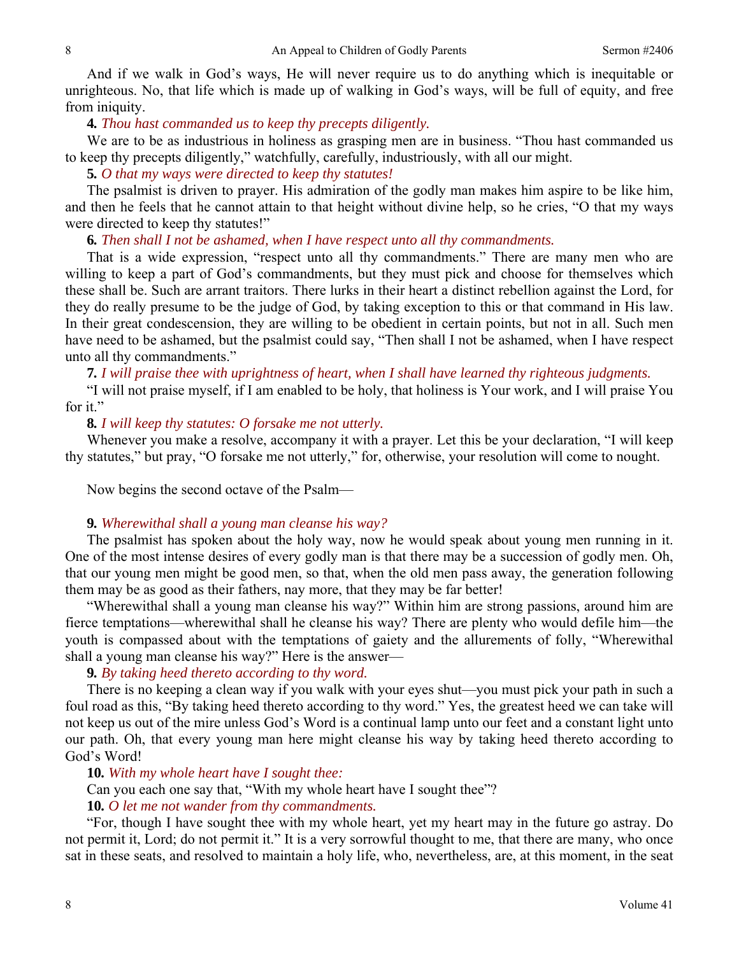And if we walk in God's ways, He will never require us to do anything which is inequitable or unrighteous. No, that life which is made up of walking in God's ways, will be full of equity, and free from iniquity.

#### **4***. Thou hast commanded us to keep thy precepts diligently.*

We are to be as industrious in holiness as grasping men are in business. "Thou hast commanded us to keep thy precepts diligently," watchfully, carefully, industriously, with all our might.

**5***. O that my ways were directed to keep thy statutes!*

The psalmist is driven to prayer. His admiration of the godly man makes him aspire to be like him, and then he feels that he cannot attain to that height without divine help, so he cries, "O that my ways were directed to keep thy statutes!"

#### **6***. Then shall I not be ashamed, when I have respect unto all thy commandments.*

That is a wide expression, "respect unto all thy commandments." There are many men who are willing to keep a part of God's commandments, but they must pick and choose for themselves which these shall be. Such are arrant traitors. There lurks in their heart a distinct rebellion against the Lord, for they do really presume to be the judge of God, by taking exception to this or that command in His law. In their great condescension, they are willing to be obedient in certain points, but not in all. Such men have need to be ashamed, but the psalmist could say, "Then shall I not be ashamed, when I have respect unto all thy commandments."

**7***. I will praise thee with uprightness of heart, when I shall have learned thy righteous judgments.*

"I will not praise myself, if I am enabled to be holy, that holiness is Your work, and I will praise You for it."

## **8***. I will keep thy statutes: O forsake me not utterly.*

Whenever you make a resolve, accompany it with a prayer. Let this be your declaration, "I will keep thy statutes," but pray, "O forsake me not utterly," for, otherwise, your resolution will come to nought.

Now begins the second octave of the Psalm—

## **9***. Wherewithal shall a young man cleanse his way?*

The psalmist has spoken about the holy way, now he would speak about young men running in it. One of the most intense desires of every godly man is that there may be a succession of godly men. Oh, that our young men might be good men, so that, when the old men pass away, the generation following them may be as good as their fathers, nay more, that they may be far better!

"Wherewithal shall a young man cleanse his way?" Within him are strong passions, around him are fierce temptations—wherewithal shall he cleanse his way? There are plenty who would defile him—the youth is compassed about with the temptations of gaiety and the allurements of folly, "Wherewithal shall a young man cleanse his way?" Here is the answer—

## **9***. By taking heed thereto according to thy word.*

There is no keeping a clean way if you walk with your eyes shut—you must pick your path in such a foul road as this, "By taking heed thereto according to thy word." Yes, the greatest heed we can take will not keep us out of the mire unless God's Word is a continual lamp unto our feet and a constant light unto our path. Oh, that every young man here might cleanse his way by taking heed thereto according to God's Word!

## **10***. With my whole heart have I sought thee:*

Can you each one say that, "With my whole heart have I sought thee"?

## **10***. O let me not wander from thy commandments.*

"For, though I have sought thee with my whole heart, yet my heart may in the future go astray. Do not permit it, Lord; do not permit it." It is a very sorrowful thought to me, that there are many, who once sat in these seats, and resolved to maintain a holy life, who, nevertheless, are, at this moment, in the seat